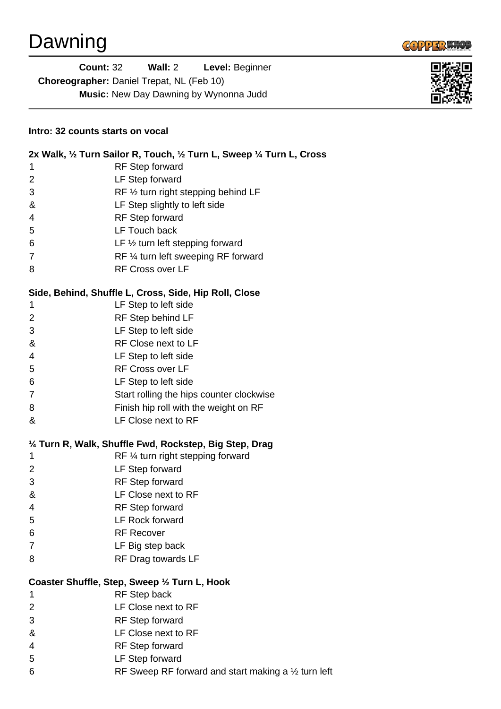

| <b>Count: 32</b>                                 | Wall: $2 \overline{ }$ | Level: Beginner |
|--------------------------------------------------|------------------------|-----------------|
| <b>Choreographer:</b> Daniel Trepat, NL (Feb 10) |                        |                 |
| <b>Music:</b> New Day Dawning by Wynonna Judd    |                        |                 |



## **Intro: 32 counts starts on vocal**

|                                                         | 2x Walk, 1/2 Turn Sailor R, Touch, 1/2 Turn L, Sweep 1/4 Turn L, Cross |  |  |
|---------------------------------------------------------|------------------------------------------------------------------------|--|--|
| 1                                                       | RF Step forward                                                        |  |  |
| $\overline{2}$                                          | LF Step forward                                                        |  |  |
| 3                                                       | RF 1/2 turn right stepping behind LF                                   |  |  |
| &                                                       | LF Step slightly to left side                                          |  |  |
| 4                                                       | <b>RF</b> Step forward                                                 |  |  |
| 5                                                       | LF Touch back                                                          |  |  |
| 6                                                       | LF $\frac{1}{2}$ turn left stepping forward                            |  |  |
| $\overline{7}$                                          | RF 1/4 turn left sweeping RF forward                                   |  |  |
| 8                                                       | <b>RF Cross over LF</b>                                                |  |  |
| Side, Behind, Shuffle L, Cross, Side, Hip Roll, Close   |                                                                        |  |  |
| 1                                                       | LF Step to left side                                                   |  |  |
| $\overline{2}$                                          | RF Step behind LF                                                      |  |  |
| 3                                                       | LF Step to left side                                                   |  |  |
| &                                                       | RF Close next to LF                                                    |  |  |
| 4                                                       | LF Step to left side                                                   |  |  |
| 5                                                       | <b>RF Cross over LF</b>                                                |  |  |
| 6                                                       | LF Step to left side                                                   |  |  |
| $\overline{7}$                                          | Start rolling the hips counter clockwise                               |  |  |
| 8                                                       | Finish hip roll with the weight on RF                                  |  |  |
| &                                                       | LF Close next to RF                                                    |  |  |
| 1/4 Turn R, Walk, Shuffle Fwd, Rockstep, Big Step, Drag |                                                                        |  |  |
| 1                                                       | RF 1/4 turn right stepping forward                                     |  |  |
| $\overline{2}$                                          | LF Step forward                                                        |  |  |
|                                                         |                                                                        |  |  |
| 3                                                       | <b>RF Step forward</b>                                                 |  |  |
| &                                                       | LF Close next to RF                                                    |  |  |
| 4                                                       | <b>RF</b> Step forward                                                 |  |  |
| 5                                                       | LF Rock forward                                                        |  |  |
| 6                                                       | <b>RF Recover</b>                                                      |  |  |
| 7                                                       | LF Big step back                                                       |  |  |
| 8                                                       | RF Drag towards LF                                                     |  |  |
|                                                         | Coaster Shuffle, Step, Sweep 1/2 Turn L, Hook                          |  |  |
| 1                                                       | <b>RF</b> Step back                                                    |  |  |
| $\overline{2}$                                          | LF Close next to RF                                                    |  |  |
| 3                                                       | <b>RF Step forward</b>                                                 |  |  |
| &                                                       | LF Close next to RF                                                    |  |  |
| 4                                                       | <b>RF</b> Step forward                                                 |  |  |
| 5                                                       | LF Step forward                                                        |  |  |